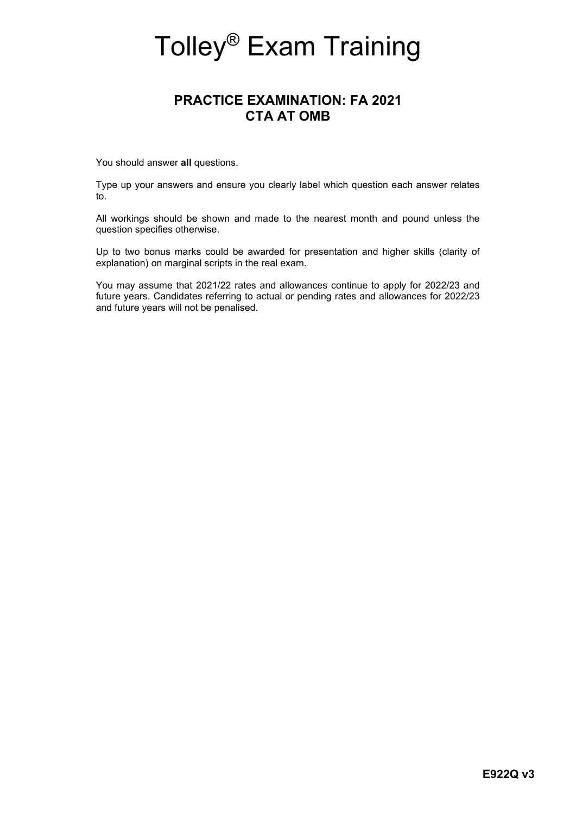# Tolley® Exam Training

# **PRACTICE EXAMINATION: FA 2021 CTA AT OMB**

You should answer **all** questions.

Type up your answers and ensure you clearly label which question each answer relates to.

All workings should be shown and made to the nearest month and pound unless the question specifies otherwise.

Up to two bonus marks could be awarded for presentation and higher skills (clarity of explanation) on marginal scripts in the real exam.

You may assume that 2021/22 rates and allowances continue to apply for 2022/23 and future years. Candidates referring to actual or pending rates and allowances for 2022/23 and future years will not be penalised.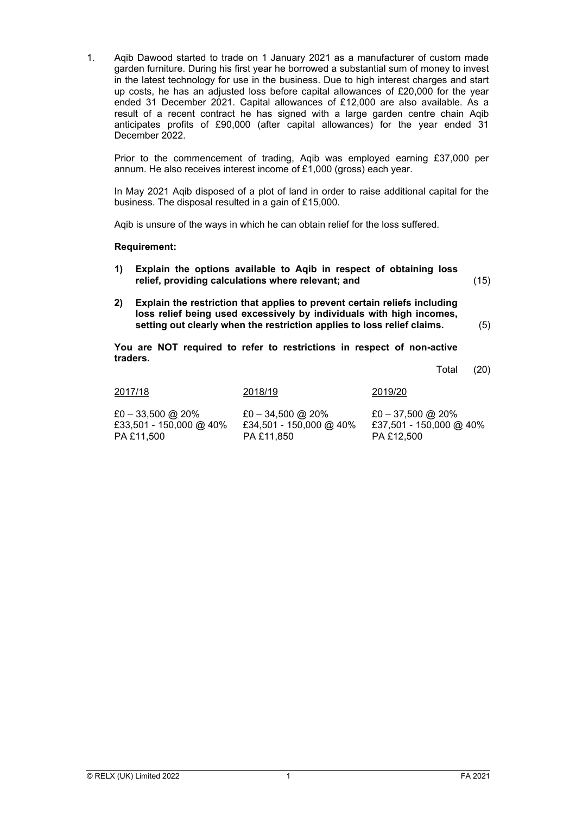1. Aqib Dawood started to trade on 1 January 2021 as a manufacturer of custom made garden furniture. During his first year he borrowed a substantial sum of money to invest in the latest technology for use in the business. Due to high interest charges and start up costs, he has an adjusted loss before capital allowances of £20,000 for the year ended 31 December 2021. Capital allowances of £12,000 are also available. As a result of a recent contract he has signed with a large garden centre chain Aqib anticipates profits of £90,000 (after capital allowances) for the year ended 31 December 2022.

Prior to the commencement of trading, Aqib was employed earning £37,000 per annum. He also receives interest income of £1,000 (gross) each year.

In May 2021 Aqib disposed of a plot of land in order to raise additional capital for the business. The disposal resulted in a gain of £15,000.

Aqib is unsure of the ways in which he can obtain relief for the loss suffered.

#### **Requirement:**

- **1) Explain the options available to Aqib in respect of obtaining loss relief, providing calculations where relevant; and** (15)
- **2) Explain the restriction that applies to prevent certain reliefs including loss relief being used excessively by individuals with high incomes, setting out clearly when the restriction applies to loss relief claims.** (5)

**You are NOT required to refer to restrictions in respect of non-active traders.**

Total (20)

| 2017/18                 | 2018/19                 | 2019/20                 |
|-------------------------|-------------------------|-------------------------|
| £0 – 33,500 @ 20%       | £0 $-$ 34,500 @ 20%     | £0 $-$ 37,500 @ 20%     |
| £33,501 - 150,000 @ 40% | £34,501 - 150,000 @ 40% | £37,501 - 150,000 @ 40% |
| PA £11.500              | PA £11.850              | PA £12.500              |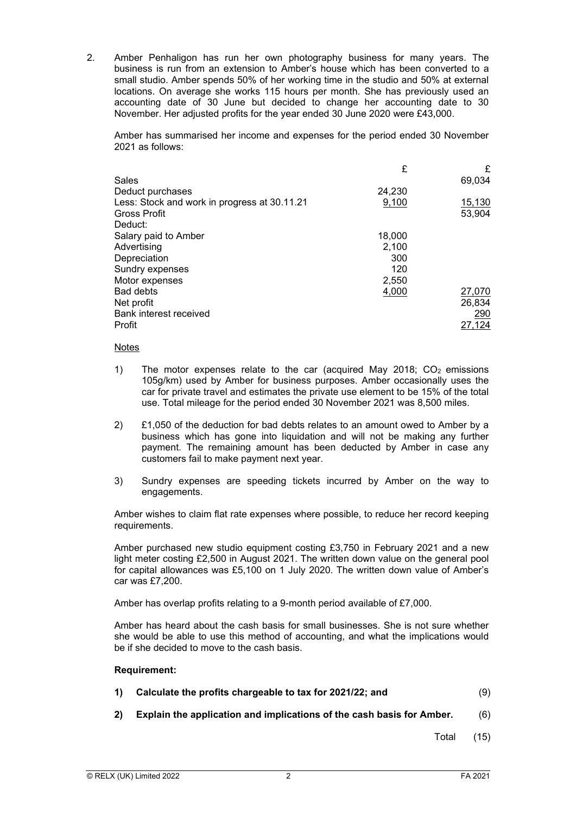2. Amber Penhaligon has run her own photography business for many years. The business is run from an extension to Amber's house which has been converted to a small studio. Amber spends 50% of her working time in the studio and 50% at external locations. On average she works 115 hours per month. She has previously used an accounting date of 30 June but decided to change her accounting date to 30 November. Her adjusted profits for the year ended 30 June 2020 were £43,000.

Amber has summarised her income and expenses for the period ended 30 November 2021 as follows:

|                                              | £      | £             |
|----------------------------------------------|--------|---------------|
| Sales                                        |        | 69,034        |
| Deduct purchases                             | 24,230 |               |
| Less: Stock and work in progress at 30.11.21 | 9,100  | <u>15,130</u> |
| Gross Profit                                 |        | 53,904        |
| Deduct:                                      |        |               |
| Salary paid to Amber                         | 18,000 |               |
| Advertising                                  | 2,100  |               |
| Depreciation                                 | 300    |               |
| Sundry expenses                              | 120    |               |
| Motor expenses                               | 2,550  |               |
| Bad debts                                    | 4,000  | 27,070        |
| Net profit                                   |        | 26,834        |
| Bank interest received                       |        | <u>290</u>    |
| Profit                                       |        | 27,124        |
|                                              |        |               |

#### **Notes**

- 1) The motor expenses relate to the car (acquired May 2018;  $CO<sub>2</sub>$  emissions 105g/km) used by Amber for business purposes. Amber occasionally uses the car for private travel and estimates the private use element to be 15% of the total use. Total mileage for the period ended 30 November 2021 was 8,500 miles.
- 2) £1,050 of the deduction for bad debts relates to an amount owed to Amber by a business which has gone into liquidation and will not be making any further payment. The remaining amount has been deducted by Amber in case any customers fail to make payment next year.
- 3) Sundry expenses are speeding tickets incurred by Amber on the way to engagements.

Amber wishes to claim flat rate expenses where possible, to reduce her record keeping requirements.

Amber purchased new studio equipment costing £3,750 in February 2021 and a new light meter costing £2,500 in August 2021. The written down value on the general pool for capital allowances was £5,100 on 1 July 2020. The written down value of Amber's car was £7,200.

Amber has overlap profits relating to a 9-month period available of £7,000.

Amber has heard about the cash basis for small businesses. She is not sure whether she would be able to use this method of accounting, and what the implications would be if she decided to move to the cash basis.

#### **Requirement:**

- **1) Calculate the profits chargeable to tax for 2021/22; and** (9)
- **2) Explain the application and implications of the cash basis for Amber.** (6)

Total (15)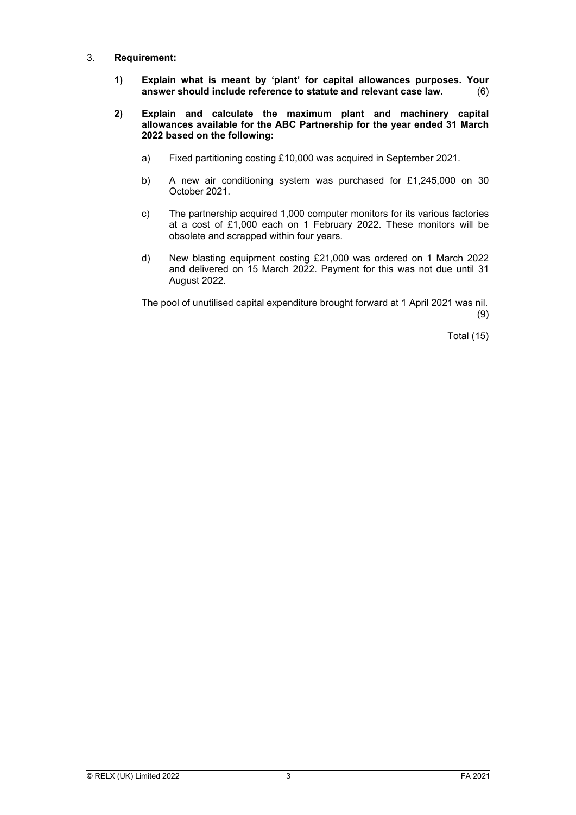- 3. **Requirement:**
	- **1) Explain what is meant by 'plant' for capital allowances purposes. Your answer should include reference to statute and relevant case law.** (6)
	- **2) Explain and calculate the maximum plant and machinery capital allowances available for the ABC Partnership for the year ended 31 March 2022 based on the following:**
		- a) Fixed partitioning costing £10,000 was acquired in September 2021.
		- b) A new air conditioning system was purchased for £1,245,000 on 30 October 2021.
		- c) The partnership acquired 1,000 computer monitors for its various factories at a cost of £1,000 each on 1 February 2022. These monitors will be obsolete and scrapped within four years.
		- d) New blasting equipment costing £21,000 was ordered on 1 March 2022 and delivered on 15 March 2022. Payment for this was not due until 31 August 2022.

The pool of unutilised capital expenditure brought forward at 1 April 2021 was nil. (9)

Total (15)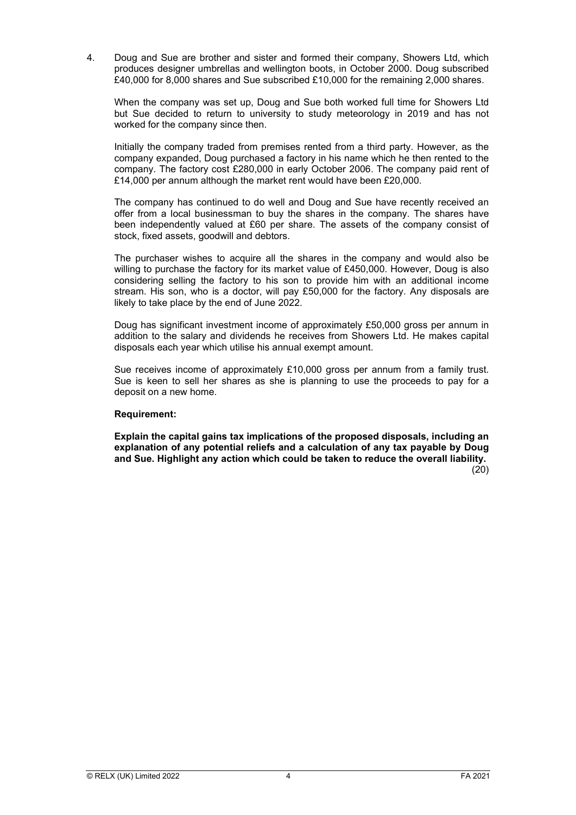4. Doug and Sue are brother and sister and formed their company, Showers Ltd, which produces designer umbrellas and wellington boots, in October 2000. Doug subscribed £40,000 for 8,000 shares and Sue subscribed £10,000 for the remaining 2,000 shares.

When the company was set up, Doug and Sue both worked full time for Showers Ltd but Sue decided to return to university to study meteorology in 2019 and has not worked for the company since then.

Initially the company traded from premises rented from a third party. However, as the company expanded, Doug purchased a factory in his name which he then rented to the company. The factory cost £280,000 in early October 2006. The company paid rent of £14,000 per annum although the market rent would have been £20,000.

The company has continued to do well and Doug and Sue have recently received an offer from a local businessman to buy the shares in the company. The shares have been independently valued at £60 per share. The assets of the company consist of stock, fixed assets, goodwill and debtors.

The purchaser wishes to acquire all the shares in the company and would also be willing to purchase the factory for its market value of £450,000. However, Doug is also considering selling the factory to his son to provide him with an additional income stream. His son, who is a doctor, will pay £50,000 for the factory. Any disposals are likely to take place by the end of June 2022.

Doug has significant investment income of approximately £50,000 gross per annum in addition to the salary and dividends he receives from Showers Ltd. He makes capital disposals each year which utilise his annual exempt amount.

Sue receives income of approximately £10,000 gross per annum from a family trust. Sue is keen to sell her shares as she is planning to use the proceeds to pay for a deposit on a new home.

## **Requirement:**

**Explain the capital gains tax implications of the proposed disposals, including an explanation of any potential reliefs and a calculation of any tax payable by Doug and Sue. Highlight any action which could be taken to reduce the overall liability.** (20)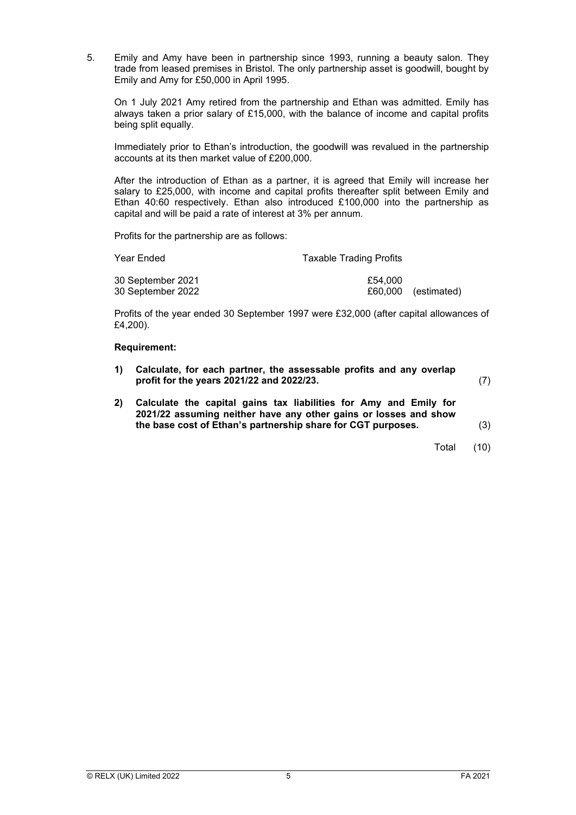5. Emily and Amy have been in partnership since 1993, running a beauty salon. They trade from leased premises in Bristol. The only partnership asset is goodwill, bought by Emily and Amy for £50,000 in April 1995.

On 1 July 2021 Amy retired from the partnership and Ethan was admitted. Emily has always taken a prior salary of £15,000, with the balance of income and capital profits being split equally.

Immediately prior to Ethan's introduction, the goodwill was revalued in the partnership accounts at its then market value of £200,000.

After the introduction of Ethan as a partner, it is agreed that Emily will increase her salary to £25,000, with income and capital profits thereafter split between Emily and Ethan 40:60 respectively. Ethan also introduced £100,000 into the partnership as capital and will be paid a rate of interest at 3% per annum.

Profits for the partnership are as follows:

| Year Ended        | <b>Taxable Trading Profits</b> |                     |
|-------------------|--------------------------------|---------------------|
| 30 September 2021 | £54.000                        |                     |
| 30 September 2022 |                                | £60,000 (estimated) |

Profits of the year ended 30 September 1997 were £32,000 (after capital allowances of £4,200).

#### **Requirement:**

- **1) Calculate, for each partner, the assessable profits and any overlap profit for the years 2021/22 and 2022/23.** (7)
- **2) Calculate the capital gains tax liabilities for Amy and Emily for 2021/22 assuming neither have any other gains or losses and show the base cost of Ethan's partnership share for CGT purposes.** (3)

Total (10)